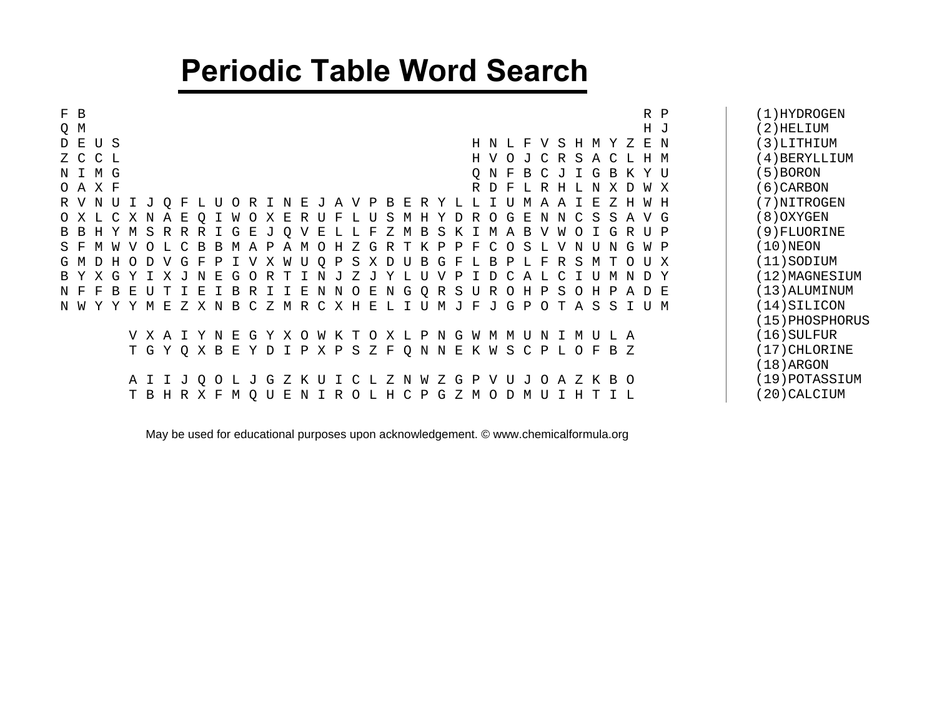## **Periodic Table Word Search**

| F B<br>R P                                                                                                                                                                                                                                      | (1)HYDROGEN     |
|-------------------------------------------------------------------------------------------------------------------------------------------------------------------------------------------------------------------------------------------------|-----------------|
| Q M<br>H J                                                                                                                                                                                                                                      | (2)HELIUM       |
| D E U S<br>H N L F V S H M Y Z E N                                                                                                                                                                                                              | (3)LITHIUM      |
| Z C C L<br>H V O J C R S A C L H M                                                                                                                                                                                                              | (4)BERYLLIUM    |
| N I M G<br>O N F B C J I G B K Y U                                                                                                                                                                                                              | (5) BORON       |
| O A X F<br>R D F<br>L R H L N X D W X                                                                                                                                                                                                           | (6) CARBON      |
| R V N U I J O F L<br>W H<br>R I<br>E<br>E<br>R Y L<br>$-L$<br>U<br>$\circ$<br>$\mathbf{P}$<br>U<br>N<br>A<br>B<br>M<br>V<br>A<br>A<br>ل -                                                                                                       | (7) NITROGEN    |
| O X L C X N A E<br>R<br>A V G<br>W<br>Е<br>S<br>O<br>G<br>E<br>N<br>$\mathcal{C}$<br>S S<br>$\circ$<br>O<br>R<br>МН<br>D<br>N<br>F<br>Y<br>X<br>U                                                                                               | (8) OXYGEN      |
| R R<br>I G<br>E<br>I G R U P<br>H Y M S R<br>$\circ$<br>Е<br>S<br>W<br>B B<br>ு<br>V<br>F<br>м в<br>B<br>$\circ$<br>Z<br>K<br>M<br>A                                                                                                            | (9) FLUORINE    |
| $\mathcal{C}$<br>S F<br>M<br>- R<br>B.<br>P<br>F<br>$\mathcal{C}$<br>$\Omega$<br>S<br>G W P<br>$\nabla$<br>$\cap$ T.<br>M<br>A<br>P<br>A M<br>H.<br><sup>Z</sup><br>G<br>R<br>K<br>$\mathsf{P}$<br>N<br>TT<br>N<br>M<br>T.<br>N.<br>- 0<br>- T. | $(10)$ NEON     |
| G M D H O D V<br>P I V X W U Q P S X D U B<br>G F<br>G F<br>O U X<br>L B<br>P L F R S<br>$\mathbf T$<br>M                                                                                                                                       | $(11)$ SODIUM   |
| X G Y<br>$\mathbf{E}$<br>B Y<br>ד א ד<br>$\mathbf N$<br>G<br>OR T<br>V P<br>C A L<br>T N<br>Z<br>Y L U<br>ת ד<br>C I U<br>N D Y<br>ਾ ਹ<br>- J<br>M                                                                                              | (12) MAGNESIUM  |
| I E N N O E N G Q R S U R O H P S<br>N F<br>B E<br>A D E<br>- F<br>I B<br>R I<br>H P<br>U<br>T<br>I E<br>$\circ$                                                                                                                                | $(13)$ ALUMINUM |
| C Z M R C X H E L I U<br>Z X N B<br>$_{\rm F}$<br>G P O T<br>ASSIUM<br>N W<br>- E<br>MJ<br>YY<br>- J<br>Y<br>M                                                                                                                                  | $(14)$ SILICON  |
|                                                                                                                                                                                                                                                 | (15) PHOSPHORUS |
| G Y X O W K T<br>N G<br>V X A T Y N E<br>O X L P<br>W M M<br>T<br>N                                                                                                                                                                             | $(16)$ SULFUR   |
| T G Y Q X B E Y D I P X P S Z F Q N<br>N E K W S C P L O F B Z                                                                                                                                                                                  | (17) CHLORINE   |
|                                                                                                                                                                                                                                                 | $(18)$ ARGON    |
| Z<br>$\mathbf{P}$<br>U<br>O A Z K B O<br>A I I J<br>$\circ$<br>Z K<br>Z<br>$\mathbf N$<br>W<br>G<br>V<br>$\overline{J}$<br>O L<br>G<br>C<br>$\overline{J}$<br>$\top$<br>L.                                                                      | (19) POTASSIUM  |
| T B H R X F<br>M O U E N I R O L H C P<br>G<br>Z<br>M O D M U I H T I L                                                                                                                                                                         | 20) CALCIUM     |

May be used for educational purposes upon acknowledgement. [© www.chemicalformula.org](http://www.chemicalformula.org)